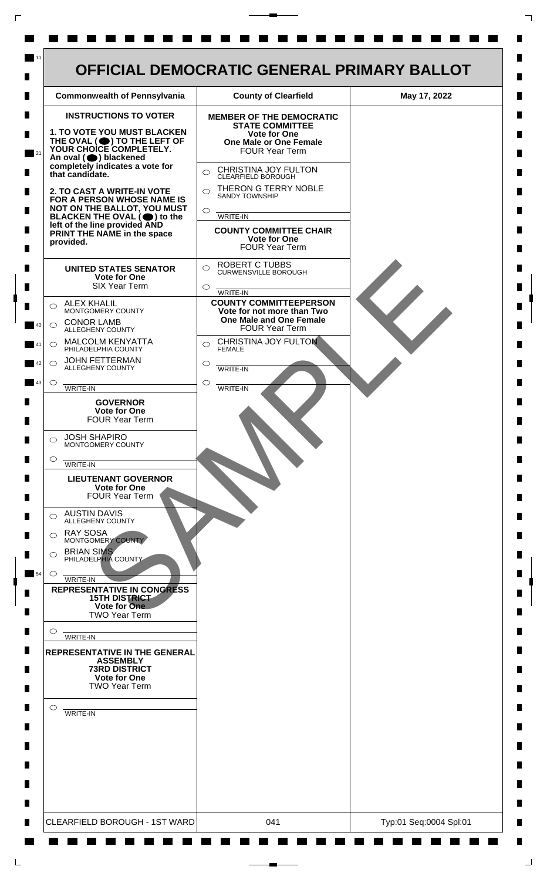

 $\mathsf{L}$